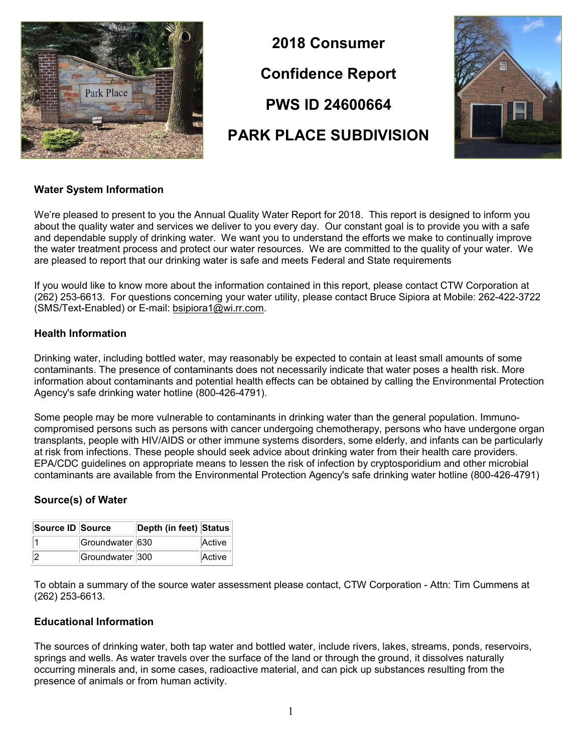

2018 Consumer Confidence Report PWS ID 24600664 PARK PLACE SUBDIVISION



## Water System Information

We're pleased to present to you the Annual Quality Water Report for 2018. This report is designed to inform you about the quality water and services we deliver to you every day. Our constant goal is to provide you with a safe and dependable supply of drinking water. We want you to understand the efforts we make to continually improve the water treatment process and protect our water resources. We are committed to the quality of your water. We are pleased to report that our drinking water is safe and meets Federal and State requirements

If you would like to know more about the information contained in this report, please contact CTW Corporation at (262) 253-6613. For questions concerning your water utility, please contact Bruce Sipiora at Mobile: 262-422-3722 (SMS/Text-Enabled) or E-mail: bsipiora1@wi.rr.com.

## Health Information

Drinking water, including bottled water, may reasonably be expected to contain at least small amounts of some contaminants. The presence of contaminants does not necessarily indicate that water poses a health risk. More information about contaminants and potential health effects can be obtained by calling the Environmental Protection Agency's safe drinking water hotline (800-426-4791).

Some people may be more vulnerable to contaminants in drinking water than the general population. Immunocompromised persons such as persons with cancer undergoing chemotherapy, persons who have undergone organ transplants, people with HIV/AIDS or other immune systems disorders, some elderly, and infants can be particularly at risk from infections. These people should seek advice about drinking water from their health care providers. EPA/CDC guidelines on appropriate means to lessen the risk of infection by cryptosporidium and other microbial contaminants are available from the Environmental Protection Agency's safe drinking water hotline (800-426-4791)

## Source(s) of Water

| Source ID Source |                 | Depth (in feet) Status |        |
|------------------|-----------------|------------------------|--------|
|                  | Groundwater 630 |                        | Active |
| 12               | Groundwater 300 |                        | Active |

To obtain a summary of the source water assessment please contact, CTW Corporation - Attn: Tim Cummens at (262) 253-6613.

## Educational Information

The sources of drinking water, both tap water and bottled water, include rivers, lakes, streams, ponds, reservoirs, springs and wells. As water travels over the surface of the land or through the ground, it dissolves naturally occurring minerals and, in some cases, radioactive material, and can pick up substances resulting from the presence of animals or from human activity.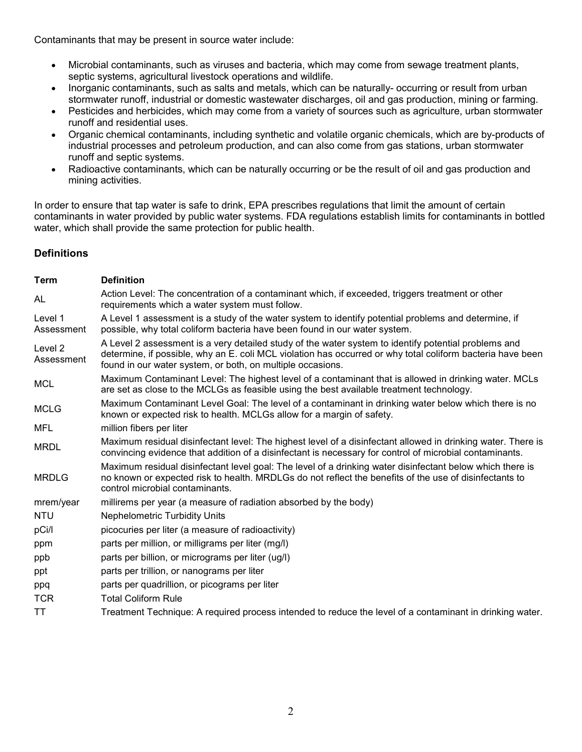Contaminants that may be present in source water include:

- Microbial contaminants, such as viruses and bacteria, which may come from sewage treatment plants, septic systems, agricultural livestock operations and wildlife.
- Inorganic contaminants, such as salts and metals, which can be naturally- occurring or result from urban stormwater runoff, industrial or domestic wastewater discharges, oil and gas production, mining or farming.
- Pesticides and herbicides, which may come from a variety of sources such as agriculture, urban stormwater runoff and residential uses.
- Organic chemical contaminants, including synthetic and volatile organic chemicals, which are by-products of industrial processes and petroleum production, and can also come from gas stations, urban stormwater runoff and septic systems.
- Radioactive contaminants, which can be naturally occurring or be the result of oil and gas production and mining activities.

In order to ensure that tap water is safe to drink, EPA prescribes regulations that limit the amount of certain contaminants in water provided by public water systems. FDA regulations establish limits for contaminants in bottled water, which shall provide the same protection for public health.

# **Definitions**

| <b>Definition</b>                                                                                                                                                                                                                                                                |
|----------------------------------------------------------------------------------------------------------------------------------------------------------------------------------------------------------------------------------------------------------------------------------|
| Action Level: The concentration of a contaminant which, if exceeded, triggers treatment or other<br>requirements which a water system must follow.                                                                                                                               |
| A Level 1 assessment is a study of the water system to identify potential problems and determine, if<br>possible, why total coliform bacteria have been found in our water system.                                                                                               |
| A Level 2 assessment is a very detailed study of the water system to identify potential problems and<br>determine, if possible, why an E. coli MCL violation has occurred or why total coliform bacteria have been<br>found in our water system, or both, on multiple occasions. |
| Maximum Contaminant Level: The highest level of a contaminant that is allowed in drinking water. MCLs<br>are set as close to the MCLGs as feasible using the best available treatment technology.                                                                                |
| Maximum Contaminant Level Goal: The level of a contaminant in drinking water below which there is no<br>known or expected risk to health. MCLGs allow for a margin of safety.                                                                                                    |
| million fibers per liter                                                                                                                                                                                                                                                         |
| Maximum residual disinfectant level: The highest level of a disinfectant allowed in drinking water. There is<br>convincing evidence that addition of a disinfectant is necessary for control of microbial contaminants.                                                          |
| Maximum residual disinfectant level goal: The level of a drinking water disinfectant below which there is<br>no known or expected risk to health. MRDLGs do not reflect the benefits of the use of disinfectants to<br>control microbial contaminants.                           |
| millirems per year (a measure of radiation absorbed by the body)                                                                                                                                                                                                                 |
| <b>Nephelometric Turbidity Units</b>                                                                                                                                                                                                                                             |
| picocuries per liter (a measure of radioactivity)                                                                                                                                                                                                                                |
| parts per million, or milligrams per liter (mg/l)                                                                                                                                                                                                                                |
| parts per billion, or micrograms per liter (ug/l)                                                                                                                                                                                                                                |
| parts per trillion, or nanograms per liter                                                                                                                                                                                                                                       |
| parts per quadrillion, or picograms per liter                                                                                                                                                                                                                                    |
| <b>Total Coliform Rule</b>                                                                                                                                                                                                                                                       |
| Treatment Technique: A required process intended to reduce the level of a contaminant in drinking water.                                                                                                                                                                         |
|                                                                                                                                                                                                                                                                                  |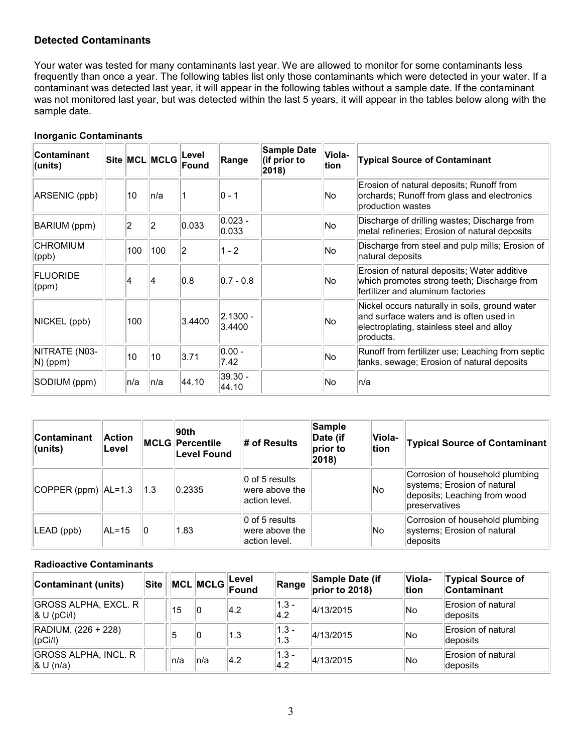## Detected Contaminants

Your water was tested for many contaminants last year. We are allowed to monitor for some contaminants less frequently than once a year. The following tables list only those contaminants which were detected in your water. If a contaminant was detected last year, it will appear in the following tables without a sample date. If the contaminant was not monitored last year, but was detected within the last 5 years, it will appear in the tables below along with the sample date.

| <b>Contaminant</b><br>(units) |      | Site MCL MCLG | Level<br>Found | Range                | <b>Sample Date</b><br>(if prior to<br>2018) | Viola-<br>tion | <b>Typical Source of Contaminant</b>                                                                                                                |
|-------------------------------|------|---------------|----------------|----------------------|---------------------------------------------|----------------|-----------------------------------------------------------------------------------------------------------------------------------------------------|
| ARSENIC (ppb)                 | 10   | ln/a          |                | l0 - 1               |                                             | No.            | Erosion of natural deposits; Runoff from<br>orchards; Runoff from glass and electronics<br>production wastes                                        |
| BARIUM (ppm)                  | 2    | 2             | 0.033          | $0.023 -$<br>0.033   |                                             | No             | Discharge of drilling wastes; Discharge from<br>metal refineries; Erosion of natural deposits                                                       |
| <b>CHROMIUM</b><br>(ppb)      | 100  | 100           | 2              | $1 - 2$              |                                             | No.            | Discharge from steel and pulp mills; Erosion of<br>natural deposits                                                                                 |
| <b>FLUORIDE</b><br>(ppm)      | 4    | 14            | 0.8            | $0.7 - 0.8$          |                                             | No             | Erosion of natural deposits; Water additive<br>which promotes strong teeth; Discharge from<br>fertilizer and aluminum factories                     |
| NICKEL (ppb)                  | 100  |               | 3.4400         | $2.1300 -$<br>3.4400 |                                             | No.            | Nickel occurs naturally in soils, ground water<br>and surface waters and is often used in<br>electroplating, stainless steel and alloy<br>products. |
| NITRATE (N03-<br>$N)$ (ppm)   | 10   | 10            | 3.71           | $0.00 -$<br>7.42     |                                             | No             | Runoff from fertilizer use; Leaching from septic<br>tanks, sewage; Erosion of natural deposits                                                      |
| SODIUM (ppm)                  | ln/a | n/a           | 44.10          | $39.30 -$<br>44.10   |                                             | No.            | n/a                                                                                                                                                 |

#### Inorganic Contaminants

| Contaminant<br>(units) | Action<br>Level |     | 90th<br><b>MCLG Percentile</b><br>Level Found | # of Results                                                            | Sample<br>Date (if<br>prior to<br>2018) | <b>Viola-</b><br>tion | <b>Typical Source of Contaminant</b>                                                                            |
|------------------------|-----------------|-----|-----------------------------------------------|-------------------------------------------------------------------------|-----------------------------------------|-----------------------|-----------------------------------------------------------------------------------------------------------------|
| $ COPPER (ppm) AL=1.3$ |                 | 1.3 | 0.2335                                        | $\vert$ 0 of 5 results<br>were above the<br>laction level.              |                                         | No.                   | Corrosion of household plumbing<br>systems; Erosion of natural<br>deposits; Leaching from wood<br>preservatives |
| LEAD (ppb)             | $AL = 15$       | 10  | 1.83                                          | $ 0 \text{ of } 5 \text{ results} $<br>were above the<br>laction level. |                                         | No.                   | Corrosion of household plumbing<br>systems; Erosion of natural<br>deposits                                      |

#### Radioactive Contaminants

| Contaminant (units)                         | $ \textsf{Site} $ |      |      | MCL MCLG Level | Range            | Sample Date (if<br>prior to 2018) | Viola-<br>tion | <b>Typical Source of</b><br>Contaminant |
|---------------------------------------------|-------------------|------|------|----------------|------------------|-----------------------------------|----------------|-----------------------------------------|
| GROSS ALPHA, EXCL. R<br>$ &$ U (pCi/l)      |                   | 15   | 10   | 4.2            | $ 1.3 -$<br> 4.2 | 4/13/2015                         | lNo            | Erosion of natural<br>deposits          |
| RADIUM, (226 + 228)<br>$ $ (pCi/l)          |                   | 5    | 10   | 1.3            | $ 1.3 -$<br>1.3  | 4/13/2015                         | lNo            | Erosion of natural<br>deposits          |
| <b>GROSS ALPHA, INCL. R</b><br>$ &$ U (n/a) |                   | ln/a | ∣n/a | $ 4.2\rangle$  | $ 1.3 -$<br> 4.2 | 4/13/2015                         | lNo            | Erosion of natural<br>deposits          |